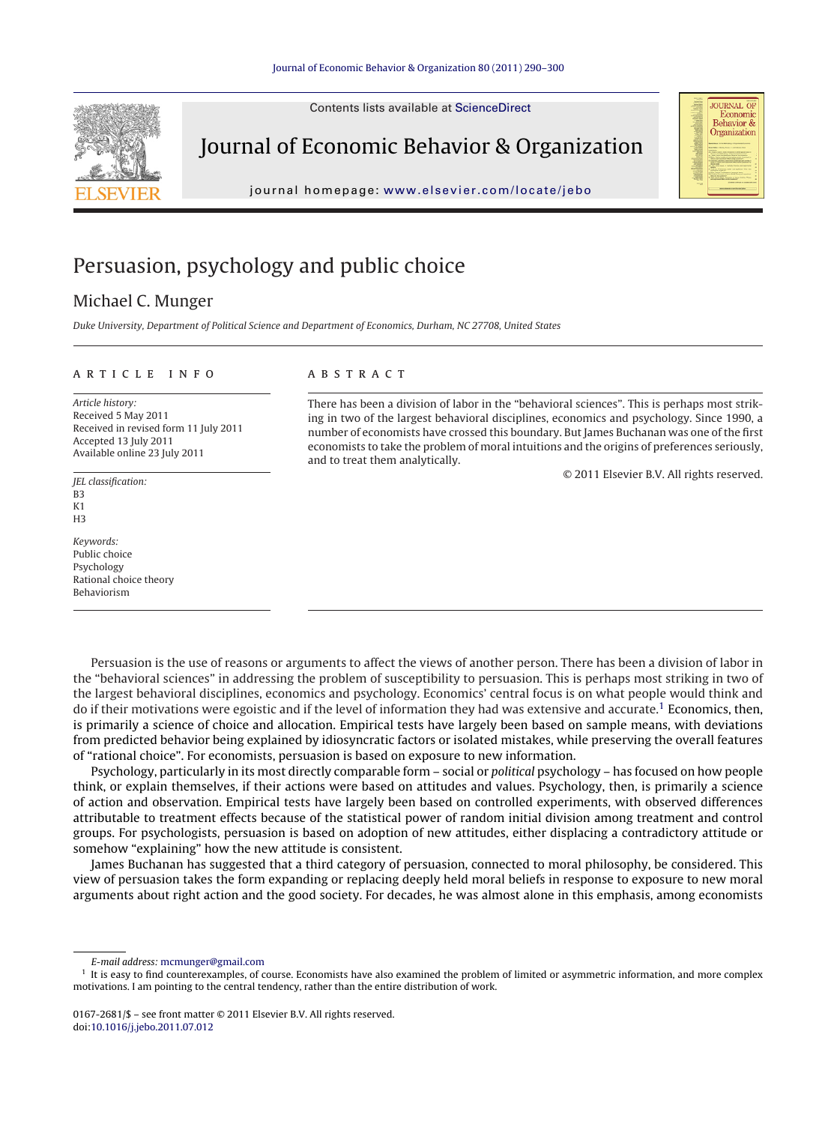Contents lists available at [ScienceDirect](http://www.sciencedirect.com/science/journal/01672681)



Journal of Economic Behavior & Organization

journal homepage: [www.elsevier.com/locate/jebo](http://www.elsevier.com/locate/jebo)

## Persuasion, psychology and public choice

### Michael C. Munger

Duke University, Department of Political Science and Department of Economics, Durham, NC 27708, United States

#### ARTICLE INFO

Article history: Received 5 May 2011 Received in revised form 11 July 2011 Accepted 13 July 2011 Available online 23 July 2011

JEL classification:  $R<sup>3</sup>$ K1 H3

Keywords: Public choice Psychology Rational choice theory Behaviorism

#### A B S T R A C T

There has been a division of labor in the "behavioral sciences". This is perhaps most striking in two of the largest behavioral disciplines, economics and psychology. Since 1990, a number of economists have crossed this boundary. But James Buchanan was one of the first economists to take the problem of moral intuitions and the origins of preferences seriously, and to treat them analytically.

© 2011 Elsevier B.V. All rights reserved.

**JOURNAL OF** Economic<br>Behavior & Denavior &

Persuasion is the use of reasons or arguments to affect the views of another person. There has been a division of labor in the "behavioral sciences" in addressing the problem of susceptibility to persuasion. This is perhaps most striking in two of the largest behavioral disciplines, economics and psychology. Economics' central focus is on what people would think and do if their motivations were egoistic and if the level of information they had was extensive and accurate.<sup>1</sup> Economics, then, is primarily a science of choice and allocation. Empirical tests have largely been based on sample means, with deviations from predicted behavior being explained by idiosyncratic factors or isolated mistakes, while preserving the overall features of "rational choice". For economists, persuasion is based on exposure to new information.

Psychology, particularly in its most directly comparable form – social or political psychology – has focused on how people think, or explain themselves, if their actions were based on attitudes and values. Psychology, then, is primarily a science of action and observation. Empirical tests have largely been based on controlled experiments, with observed differences attributable to treatment effects because of the statistical power of random initial division among treatment and control groups. For psychologists, persuasion is based on adoption of new attitudes, either displacing a contradictory attitude or somehow "explaining" how the new attitude is consistent.

James Buchanan has suggested that a third category of persuasion, connected to moral philosophy, be considered. This view of persuasion takes the form expanding or replacing deeply held moral beliefs in response to exposure to new moral arguments about right action and the good society. For decades, he was almost alone in this emphasis, among economists

E-mail address: [mcmunger@gmail.com](mailto:mcmunger@gmail.com)

<sup>&</sup>lt;sup>1</sup> It is easy to find counterexamples, of course. Economists have also examined the problem of limited or asymmetric information, and more complex motivations. I am pointing to the central tendency, rather than the entire distribution of work.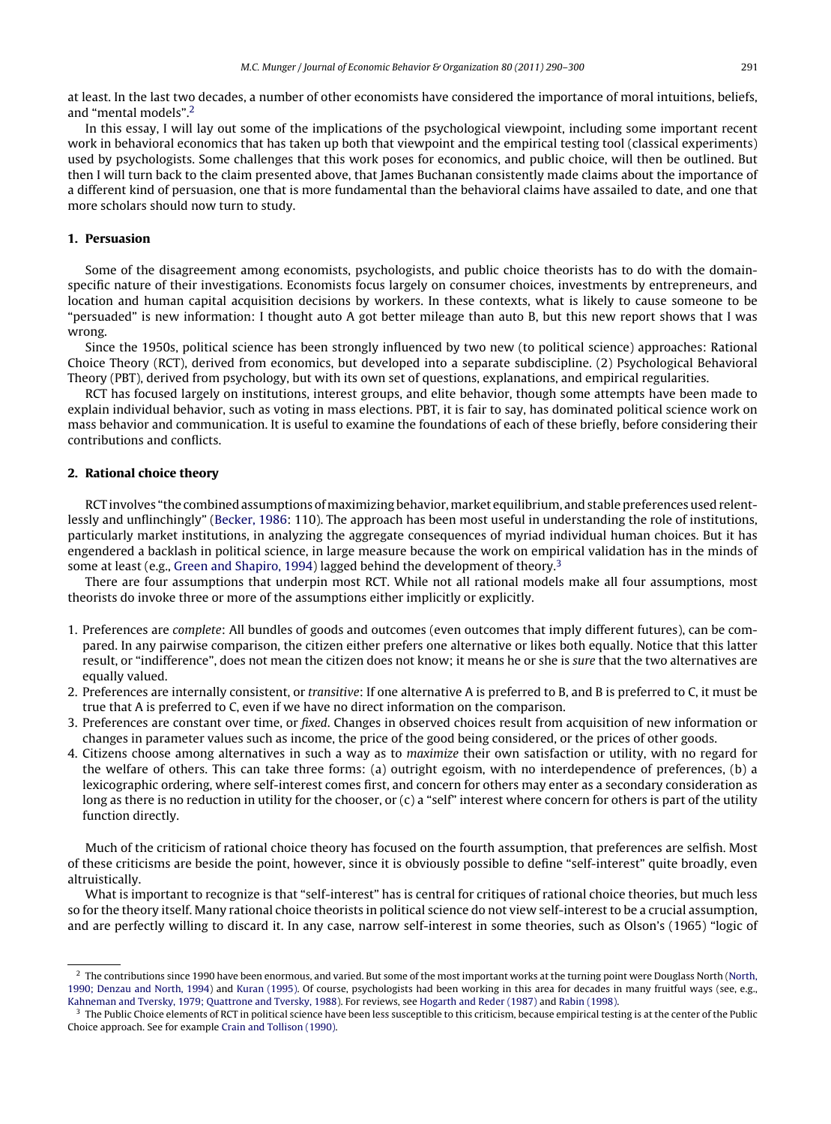at least. In the last two decades, a number of other economists have considered the importance of moral intuitions, beliefs, and "mental models".2

In this essay, I will lay out some of the implications of the psychological viewpoint, including some important recent work in behavioral economics that has taken up both that viewpoint and the empirical testing tool (classical experiments) used by psychologists. Some challenges that this work poses for economics, and public choice, will then be outlined. But then I will turn back to the claim presented above, that James Buchanan consistently made claims about the importance of a different kind of persuasion, one that is more fundamental than the behavioral claims have assailed to date, and one that more scholars should now turn to study.

#### **1. Persuasion**

Some of the disagreement among economists, psychologists, and public choice theorists has to do with the domainspecific nature of their investigations. Economists focus largely on consumer choices, investments by entrepreneurs, and location and human capital acquisition decisions by workers. In these contexts, what is likely to cause someone to be "persuaded" is new information: I thought auto A got better mileage than auto B, but this new report shows that I was wrong.

Since the 1950s, political science has been strongly influenced by two new (to political science) approaches: Rational Choice Theory (RCT), derived from economics, but developed into a separate subdiscipline. (2) Psychological Behavioral Theory (PBT), derived from psychology, but with its own set of questions, explanations, and empirical regularities.

RCT has focused largely on institutions, interest groups, and elite behavior, though some attempts have been made to explain individual behavior, such as voting in mass elections. PBT, it is fair to say, has dominated political science work on mass behavior and communication. It is useful to examine the foundations of each of these briefly, before considering their contributions and conflicts.

#### **2. Rational choice theory**

RCT involves "the combined assumptions of maximizing behavior, market equilibrium, and stable preferences used relentlessly and unflinchingly" ([Becker,](#page--1-0) [1986:](#page--1-0) 110). The approach has been most useful in understanding the role of institutions, particularly market institutions, in analyzing the aggregate consequences of myriad individual human choices. But it has engendered a backlash in political science, in large measure because the work on empirical validation has in the minds of some at least (e.g., [Green](#page--1-0) [and](#page--1-0) [Shapiro,](#page--1-0) [1994\)](#page--1-0) lagged behind the development of theory.<sup>3</sup>

There are four assumptions that underpin most RCT. While not all rational models make all four assumptions, most theorists do invoke three or more of the assumptions either implicitly or explicitly.

- 1. Preferences are complete: All bundles of goods and outcomes (even outcomes that imply different futures), can be compared. In any pairwise comparison, the citizen either prefers one alternative or likes both equally. Notice that this latter result, or "indifference", does not mean the citizen does not know; it means he or she is sure that the two alternatives are equally valued.
- 2. Preferences are internally consistent, or transitive: If one alternative A is preferred to B, and B is preferred to C, it must be true that A is preferred to C, even if we have no direct information on the comparison.
- 3. Preferences are constant over time, or fixed. Changes in observed choices result from acquisition of new information or changes in parameter values such as income, the price of the good being considered, or the prices of other goods.
- 4. Citizens choose among alternatives in such a way as to maximize their own satisfaction or utility, with no regard for the welfare of others. This can take three forms: (a) outright egoism, with no interdependence of preferences, (b) a lexicographic ordering, where self-interest comes first, and concern for others may enter as a secondary consideration as long as there is no reduction in utility for the chooser, or (c) a "self" interest where concern for others is part of the utility function directly.

Much of the criticism of rational choice theory has focused on the fourth assumption, that preferences are selfish. Most of these criticisms are beside the point, however, since it is obviously possible to define "self-interest" quite broadly, even altruistically.

What is important to recognize is that "self-interest" has is central for critiques of rational choice theories, but much less so for the theory itself. Many rational choice theorists in political science do not view self-interest to be a crucial assumption, and are perfectly willing to discard it. In any case, narrow self-interest in some theories, such as Olson's (1965) "logic of

 $<sup>2</sup>$  The contributions since 1990 have been enormous, and varied. But some of the most important works at the turning point were Douglass North [\(North,](#page--1-0)</sup> [1990;](#page--1-0) [Denzau](#page--1-0) [and](#page--1-0) [North,](#page--1-0) [1994\)](#page--1-0) and [Kuran](#page--1-0) [\(1995\).](#page--1-0) Of course, psychologists had been working in this area for decades in many fruitful ways (see, e.g., [Kahneman](#page--1-0) [and](#page--1-0) [Tversky,](#page--1-0) [1979;](#page--1-0) [Quattrone](#page--1-0) [and](#page--1-0) [Tversky,](#page--1-0) [1988\).](#page--1-0) For reviews, see [Hogarth](#page--1-0) [and](#page--1-0) [Reder](#page--1-0) [\(1987\)](#page--1-0) and [Rabin](#page--1-0) [\(1998\).](#page--1-0)

<sup>&</sup>lt;sup>3</sup> The Public Choice elements of RCT in political science have been less susceptible to this criticism, because empirical testing is at the center of the Public Choice approach. See for example [Crain](#page--1-0) [and](#page--1-0) [Tollison](#page--1-0) [\(1990\).](#page--1-0)